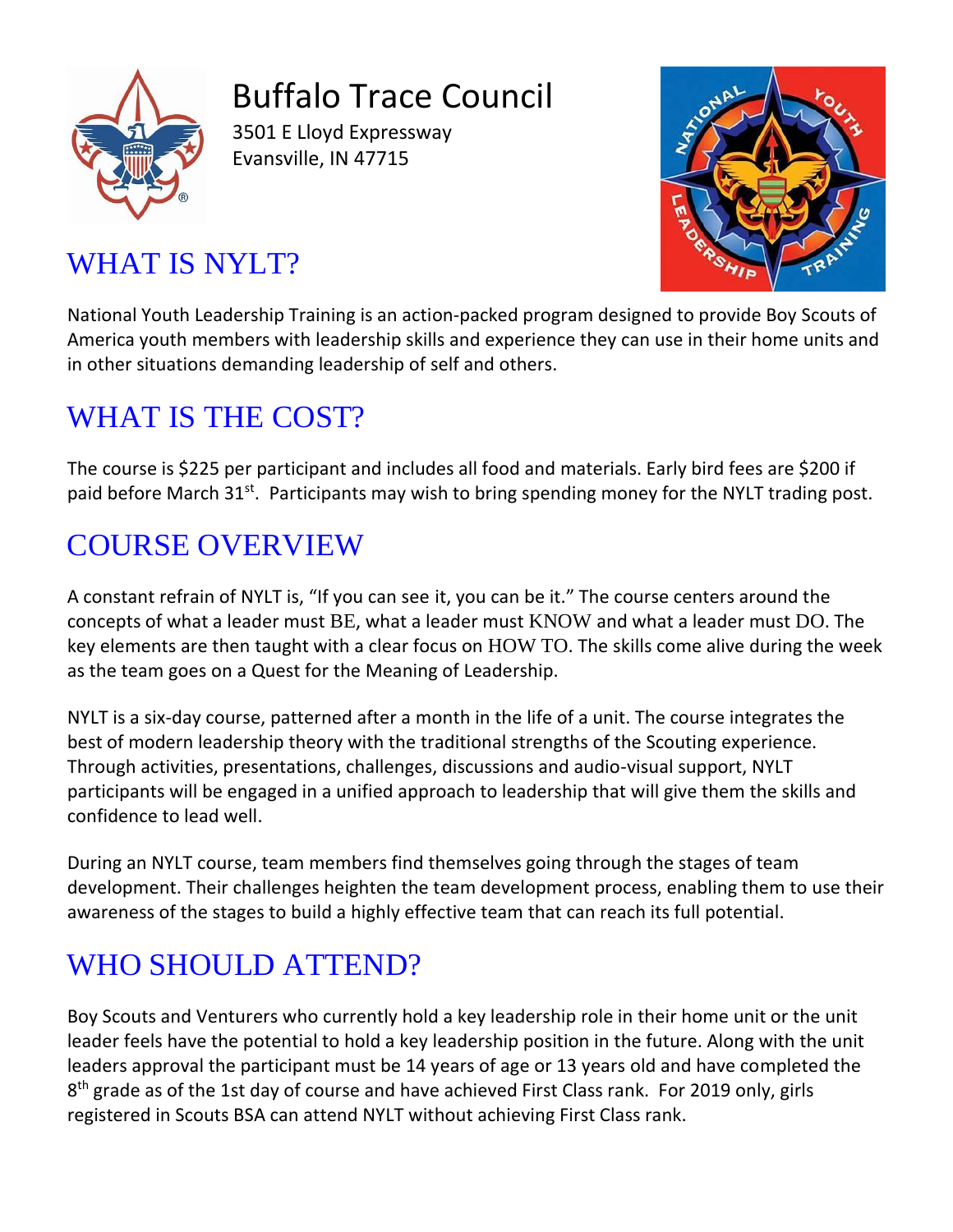

Buffalo Trace Council

3501 E Lloyd Expressway Evansville, IN 47715



# WHAT IS NYLT?

National Youth Leadership Training is an action-packed program designed to provide Boy Scouts of America youth members with leadership skills and experience they can use in their home units and in other situations demanding leadership of self and others.

## WHAT IS THE COST?

The course is \$225 per participant and includes all food and materials. Early bird fees are \$200 if paid before March 31<sup>st</sup>. Participants may wish to bring spending money for the NYLT trading post.

### COURSE OVERVIEW

A constant refrain of NYLT is, "If you can see it, you can be it." The course centers around the concepts of what a leader must BE, what a leader must KNOW and what a leader must DO. The key elements are then taught with a clear focus on HOW TO. The skills come alive during the week as the team goes on a Quest for the Meaning of Leadership.

NYLT is a six-day course, patterned after a month in the life of a unit. The course integrates the best of modern leadership theory with the traditional strengths of the Scouting experience. Through activities, presentations, challenges, discussions and audio-visual support, NYLT participants will be engaged in a unified approach to leadership that will give them the skills and confidence to lead well.

During an NYLT course, team members find themselves going through the stages of team development. Their challenges heighten the team development process, enabling them to use their awareness of the stages to build a highly effective team that can reach its full potential.

## WHO SHOULD ATTEND?

Boy Scouts and Venturers who currently hold a key leadership role in their home unit or the unit leader feels have the potential to hold a key leadership position in the future. Along with the unit leaders approval the participant must be 14 years of age or 13 years old and have completed the 8<sup>th</sup> grade as of the 1st day of course and have achieved First Class rank. For 2019 only, girls registered in Scouts BSA can attend NYLT without achieving First Class rank.